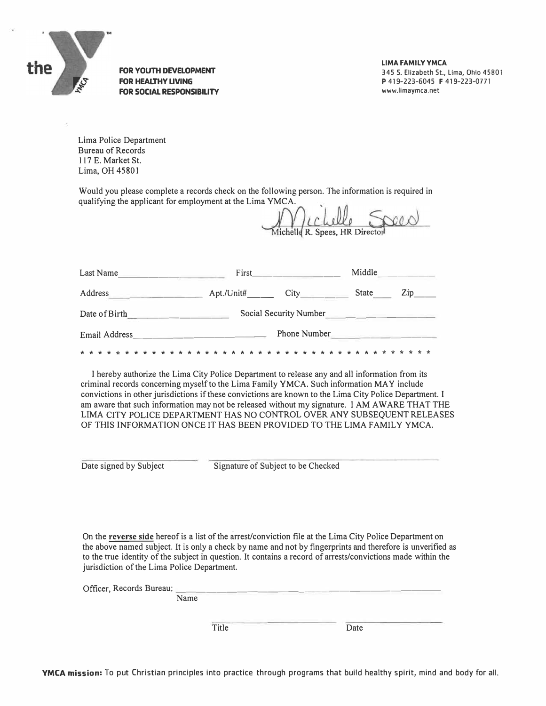

**FOR YOUTH DEVELOPMENT FOR HEALTHY LIVING FOR SOCIAL RESPONSIBILITY**  **LIMA FAMILY YMCA**  345 S. Elizabeth St., Lima, Ohio 45801 P 419-223-6045 F 419-223-0771 www.limaymca.net

Lima Police Department Bureau of Records 117 E. Market St. Lima, OH 45801

Would you please complete a records check on the following person. The information is required in qualifying the applicant for employment at the Lima YMCA.

lichelle R. Spees, HR Director

| Last Name     | First                  |              | Middle |             |
|---------------|------------------------|--------------|--------|-------------|
| Address       | Apt./Unit#             | City         | State  | $\angle$ ip |
| Date of Birth | Social Security Number |              |        |             |
| Email Address |                        | Phone Number |        |             |
|               |                        |              |        |             |

I hereby authorize the Lima City Police Department to release any and all information from its criminal records concerning myself to the Lima Family YMCA. Such information MAY include convictions in other jurisdictions if these convictions are known to the Lima City Police Department. I am aware that such information may not be released without my signature. I AM AWARE THAT THE LIMA CITY POLICE DEPARTMENT HAS NO CONTROL OVER ANY SUBSEQUENT RELEASES OF THIS INFORMATION ONCE IT HAS BEEN PROVIDED TO THE LIMA FAMILY YMCA.

Date signed by Subject Signature of Subject to be Checked

On the **reverse side** hereof is a list of the arrest/conviction file at the Lima City Police Department on the above named subject. It is only a check by name and not by fingerprints and therefore is unverified as to the true identity of the subject in question. It contains a record of arrests/convictions made within the jurisdiction of the Lima Police Department.

Officer, Records Bureau: Name

Title Date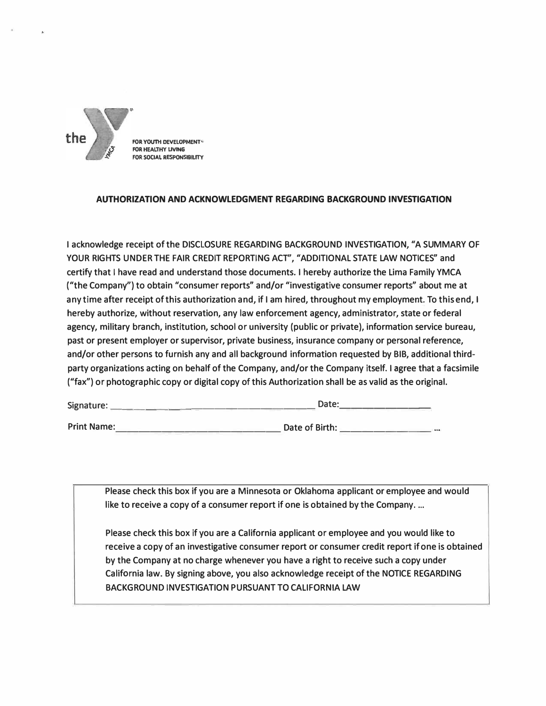

**FOR YOUTH DEVELOPMENT® FOR HEALTHY LIVING FOR SOCIAi. RESPONSIBILITY** 

## **AUTHORIZATION AND ACKNOWLEDGMENT REGARDING BACKGROUND INVESTIGATION**

**I acknowledge receipt of the DISCLOSURE REGARDING BACKGROUND INVESTIGATION, "A SUMMARY OF YOUR RIGHTS UNDER THE FAIR CREDIT REPORTING ACT", "ADDITIONAL STATE LAW NOTICES" and certify that I have read and understand those documents. I hereby authorize the Lima Family YMCA ("the Company") to obtain "consumer reports" and/or "investigative consumer reports" about me at any time after receipt of this authorization and, if I am hired, throughout my employment. To this end, I hereby authorize, without reservation, any law enforcement agency, administrator, state or federal agency, military branch, institution, school or university (public or private), information service bureau, past or present employer or supervisor, private business, insurance company or personal reference, and/or other persons to furnish any and all background information requested by BIB, additional thirdparty organizations acting on behalf of the Company, and/or the Company itself. I agree that a facsimile ("fax'') or photographic copy or digital copy of this Authorization shall be as valid as the original.** 

| Date: |                |  |
|-------|----------------|--|
|       |                |  |
|       | Date of Birth: |  |

**Please check this box if you are a Minnesota or Oklahoma applicant or employee and would like to receive a copy of a consumer report if one is obtained by the Company ....** 

**Please check this box if you are a California applicant or employee and you would like to receive a copy of an investigative consumer report or consumer credit report if one is obtained by the Company at no charge whenever you have a right to receive such a copy under California law. By signing above, you also acknowledge receipt of the NOTICE REGARDING BACKGROUND INVESTIGATION PURSUANT TO CALIFORNIA LAW**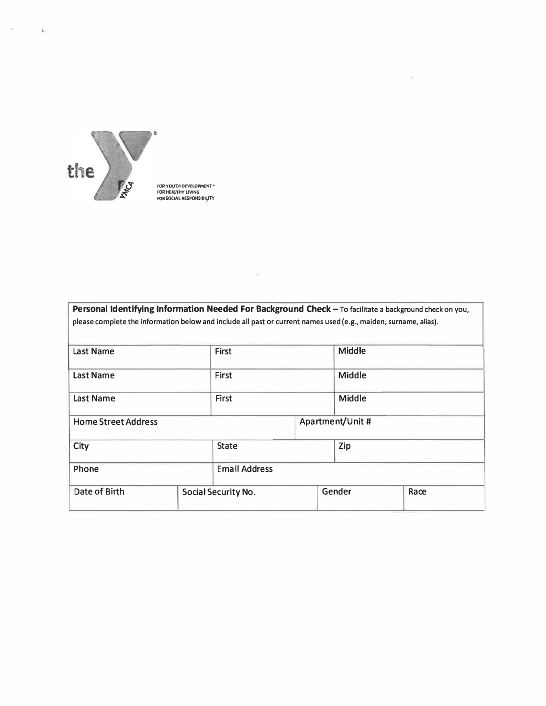

 $\mathcal{I}=\mathcal{I}=\mathcal{I}$ 

FOR YOUTH DEVELDPMENT*"*<br>FOR HEALYHY LIVING<br>FOR SOCIAL RESPONSIBIL<sub></sub>ITY

| please complete the information below and include all past or current names used (e.g., maiden, surname, alias). |                     |                  |        |               |      |  |
|------------------------------------------------------------------------------------------------------------------|---------------------|------------------|--------|---------------|------|--|
| <b>First</b><br><b>Last Name</b>                                                                                 |                     |                  | Middle |               |      |  |
| <b>Last Name</b>                                                                                                 |                     | First            |        | <b>Middle</b> |      |  |
| <b>Last Name</b>                                                                                                 | <b>First</b>        |                  | Middle |               |      |  |
| <b>Home Street Address</b>                                                                                       |                     | Apartment/Unit # |        |               |      |  |
| <b>City</b>                                                                                                      |                     | <b>State</b>     |        | Zip           |      |  |
| <b>Email Address</b><br>Phone                                                                                    |                     |                  |        |               |      |  |
| Date of Birth                                                                                                    | Social Security No. |                  |        | Gender        | Race |  |

 $\epsilon$ 

 $\sim 10^{-11}$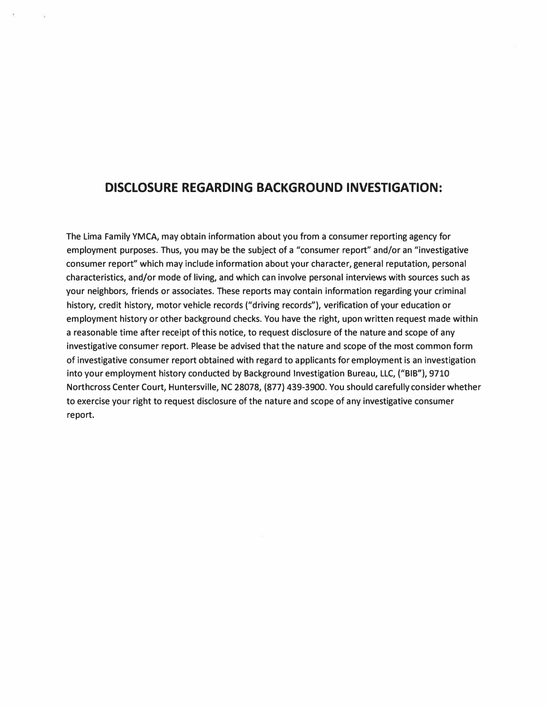## **DISCLOSURE REGARDING BACKGROUND INVESTIGATION:**

The Lima Family YMCA, may obtain information about you from a consumer reporting agency for employment purposes. Thus, you may be the subject of a "consumer report" and/or an "investigative consumer report" which may include information about your character, general reputation, personal characteristics, and/or mode of living, and which can involve personal interviews with sources such as your neighbors, friends or associates. These reports may contain information regarding your criminal history, credit history, motor vehicle records ("driving records"), verification of your education or employment history or other background checks. You have the right, upon written request made within a reasonable time after receipt of this notice, to request disclosure of the nature and scope of any investigative consumer report. Please be advised that the nature and scope of the most common form of investigative consumer report obtained with regard to applicants for employment is an investigation into your employment history conducted by Background Investigation Bureau, LLC, **("BIB"),** 9710 Northcross Center Court, Huntersville, NC 28078, (877) 439-3900. You should carefully consider whether to exercise your right to request disclosure of the nature and scope of any investigative consumer report.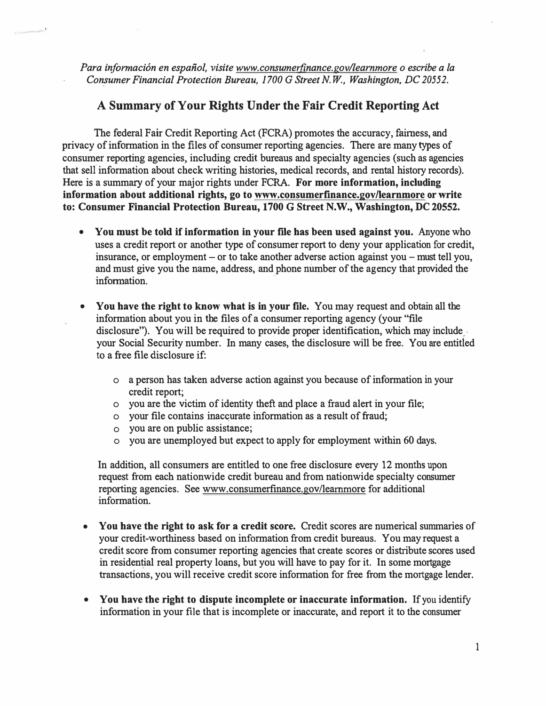Para información en español, visite www.consumerfinance.gov/learnmore o escribe a la *Consumer Financial Protection Bureau, 1700 G Street N. W., Washington, DC 20552.* 

## **A Summary of Your Rights Under the Fair Credit Reporting Act**

The federal Fair Credit Reporting Act (FCRA) promotes the accuracy, fairness, and privacy of information in the files of consumer reporting agencies. There are many types of consumer reporting agencies, including credit bureaus and specialty agencies (such as agencies that sell information about check writing histories, medical records, and rental history records). Here is a summary of your major rights under FCRA. **For more information, including information about additional rights, go to www.consumerfinance.gov/learnmore or write to: Consumer Financial Protection Bureau, 1700 G Street N.W., Washington,** DC **20552.** 

- **You must be told if information in your file has been used against you.** Anyone who uses a credit report or another type of consumer report to deny your application for credit, insurance, or employment – or to take another adverse action against you – must tell you, and must give you the name, address, and phone number of the agency that provided the information.
- **You have the right to know what is in your file.** You may request and obtain all the information about you in the files of a consumer reporting agency (your "file disclosure"). You will be required to provide proper identification, which may include your Social Security number. In many cases, the disclosure will be free. You are entitled to a free file disclosure if:
	- o a person has taken adverse action against you because of information in your credit report;
	- o you are the victim of identity theft and place a fraud alert in your file;
	- o your file contains inac�urate information as a result of fraud;
	- o you are on public assistance;
	- o you are unemployed but expect to apply for employment within 60 days.

In addition, all consumers are entitled to one free disclosure every 12 months upon request from each nationwide credit bureau and from nationwide specialty consumer reporting agencies. See www.consumerfinance.gov/learnmore for additional information.

- **You have the right to ask for a credit score.** Credit scores are numerical summaries of your credit-worthiness based on information from credit bureaus. You may request a credit score from consumer reporting agencies that create scores or distribute scores used in residential real property loans, but you will have to pay for it. In some mortgage transactions, you will receive credit score information for free from the mortgage lender.
- **You have the right to dispute incomplete or inaccurate information.** If you identify information in your file that is incomplete or inaccurate, and report it to the consumer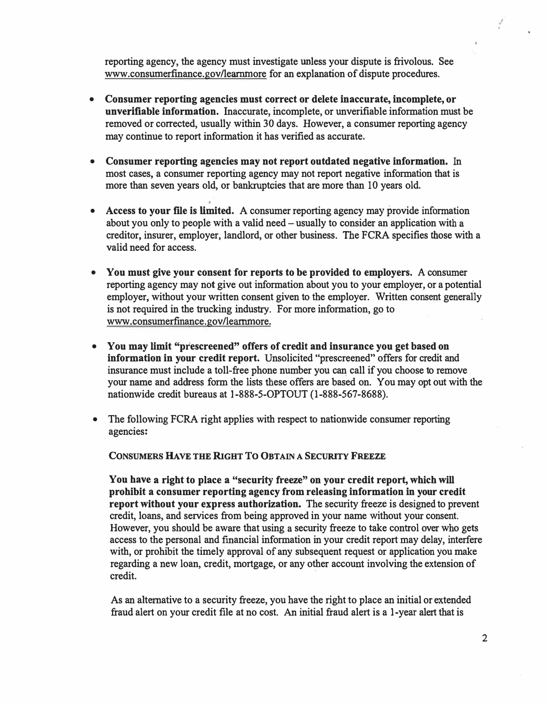**reporting agency, the agency must investigate unless your dispute is frivolous. See www.consumerfinance.gov/learnmore for an explanation of dispute procedures.** 

- **• Consumer reporting agencies must correct or delete inaccurate, incomplete, or unverifiable information. Inaccurate, incomplete, or unverifiable information must be removed or corrected, usually within 30 days. However, a consumer reporting agency may continue to report information it has verified as accurate.**
- **• Consumer reporting agencies may not report outdated negative information. In most cases, a consumer reporting agency may not report negative information that is more than seven years old, or bankruptcies that are more than 10 years old.**
- **• Access to your file is limited. A consumer reporting agency may provide information about you only to people with a valid need - usually to consider an application with a creditor, insurer, employer, landlord, or other business. The FCRA specifies those with a valid need for access.**
- **• You must give your consent for reports to be provided to employers. A consumer reporting agency may not give out information about you to your employer, or a potential employer, without your written consent given to the employer. Written consent generally is not required in the trucking industry. For more information, go to www.consumerfinance.gov/learnmore.**
- **• You may limit "prescreened" offers of credit and insurance you get based on information in your credit report. Unsolicited "prescreened" offers for credit and insurance must include a toll-free phone number you can call if you choose to remove your name and address form the lists these offers are based on. You may opt out with the nationwide credit bureaus at 1-888-5-0PTOUT (I-888-567-8688).**
- **• The following FCRA right applies with respect to nationwide consumer reporting agencies:**

CONSUMERS HAVE THE RIGHT TO OBTAIN A SECURITY FREEZE

**You have a right to place a "security freeze" on your credit report, which will prohibit a consumer reporting agency from releasing information in your credit report without your express authorization. The security freeze is designed to prevent credit, loans, and services from being approved in your name without your consent. However, you should be aware that using a security freeze to take control over who gets access to the personal and fmancial information in your credit report may delay, interfere with, or prohibit the timely approval of any subsequent request or application you make regarding a new loan, credit, mortgage, or any other account involving the extension of credit.** 

**As an alternative to a security freeze, you have the right to place an initial or extended fraud alert on your credit file at no cost. An initial fraud alert is a I-year alert that is**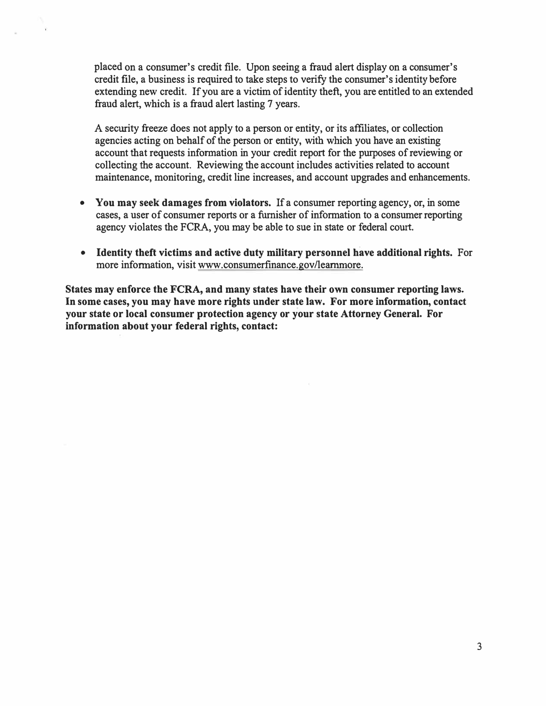placed on a consumer's credit file. Upon seeing a fraud alert display on a consumer's credit file, a business is required to take steps to verify the consumer's identity before extending new credit. If you are a victim of identity theft, you are entitled to an extended fraud alert, which is a fraud alert lasting 7 years.

A security freeze does not apply to a person or entity, or its affiliates, or collection agencies acting on behalf of the person or entity, with which you have an existing account that requests information in your credit report for the purposes of reviewing or collecting the account. Reviewing the account includes activities related to account maintenance, monitoring, credit line increases, and account upgrades and enhancements.

- **You may seek damages from violators.** If a consumer reporting agency, or, in some cases, a user of consumer reports or a furnisher of information to a consumer reporting agency violates the FCRA, you may be able to sue in state or federal court.
- **Identity theft victims and active duty military personnel have additional rights.** For more information, visit www.consumerfinance.gov/learnmore.

**States may enforce the FCRA, and many states have their own consumer reporting laws. In some cases, you may have more rights under state law. For more information, contact your state or local consumer protection agency or your state Attorney General. For information about your federal rights, contact:**